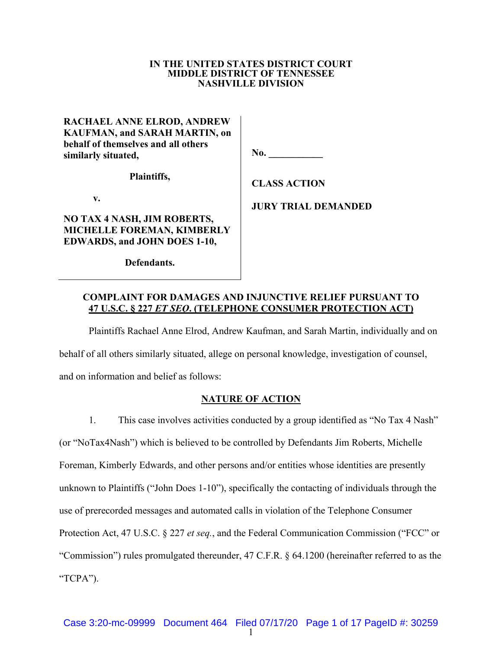#### **IN THE UNITED STATES DISTRICT COURT MIDDLE DISTRICT OF TENNESSEE NASHVILLE DIVISION**

| Plaintiffs,                                                |     |
|------------------------------------------------------------|-----|
| behalf of themselves and all others<br>similarly situated, | No. |
| <b>KAUFMAN, and SARAH MARTIN, on</b>                       |     |
| <b>RACHAEL ANNE ELROD, ANDREW</b>                          |     |

**v.**

## **NO TAX 4 NASH, JIM ROBERTS, MICHELLE FOREMAN, KIMBERLY EDWARDS, and JOHN DOES 1-10,**

**No.**  $\blacksquare$ 

**CLASS ACTION**

**JURY TRIAL DEMANDED**

**Defendants.**

## **COMPLAINT FOR DAMAGES AND INJUNCTIVE RELIEF PURSUANT TO 47 U.S.C. § 227** *ET SEQ***. (TELEPHONE CONSUMER PROTECTION ACT)**

Plaintiffs Rachael Anne Elrod, Andrew Kaufman, and Sarah Martin, individually and on

behalf of all others similarly situated, allege on personal knowledge, investigation of counsel,

and on information and belief as follows:

# **NATURE OF ACTION**

1. This case involves activities conducted by a group identified as "No Tax 4 Nash" (or "NoTax4Nash") which is believed to be controlled by Defendants Jim Roberts, Michelle Foreman, Kimberly Edwards, and other persons and/or entities whose identities are presently unknown to Plaintiffs ("John Does 1-10"), specifically the contacting of individuals through the use of prerecorded messages and automated calls in violation of the Telephone Consumer Protection Act, 47 U.S.C. § 227 *et seq.*, and the Federal Communication Commission ("FCC" or "Commission") rules promulgated thereunder, 47 C.F.R. § 64.1200 (hereinafter referred to as the "TCPA").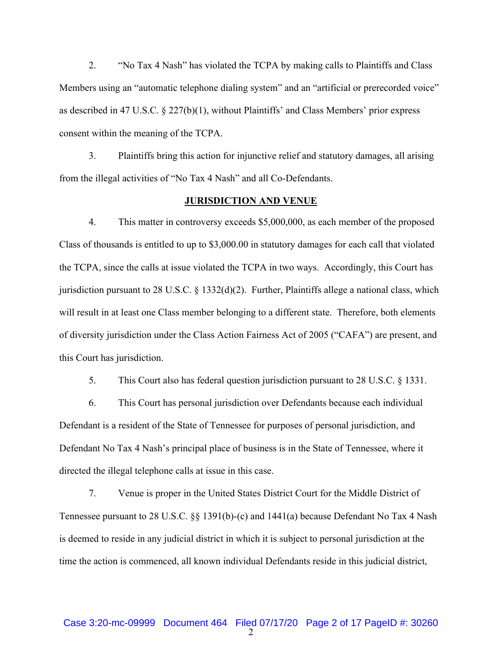2. "No Tax 4 Nash" has violated the TCPA by making calls to Plaintiffs and Class Members using an "automatic telephone dialing system" and an "artificial or prerecorded voice" as described in 47 U.S.C. § 227(b)(1), without Plaintiffs' and Class Members' prior express consent within the meaning of the TCPA.

3. Plaintiffs bring this action for injunctive relief and statutory damages, all arising from the illegal activities of "No Tax 4 Nash" and all Co-Defendants.

### **JURISDICTION AND VENUE**

4. This matter in controversy exceeds \$5,000,000, as each member of the proposed Class of thousands is entitled to up to \$3,000.00 in statutory damages for each call that violated the TCPA, since the calls at issue violated the TCPA in two ways. Accordingly, this Court has jurisdiction pursuant to 28 U.S.C. § 1332(d)(2). Further, Plaintiffs allege a national class, which will result in at least one Class member belonging to a different state. Therefore, both elements of diversity jurisdiction under the Class Action Fairness Act of 2005 ("CAFA") are present, and this Court has jurisdiction.

5. This Court also has federal question jurisdiction pursuant to 28 U.S.C. § 1331.

6. This Court has personal jurisdiction over Defendants because each individual Defendant is a resident of the State of Tennessee for purposes of personal jurisdiction, and Defendant No Tax 4 Nash's principal place of business is in the State of Tennessee, where it directed the illegal telephone calls at issue in this case.

7. Venue is proper in the United States District Court for the Middle District of Tennessee pursuant to 28 U.S.C. §§ 1391(b)-(c) and 1441(a) because Defendant No Tax 4 Nash is deemed to reside in any judicial district in which it is subject to personal jurisdiction at the time the action is commenced, all known individual Defendants reside in this judicial district,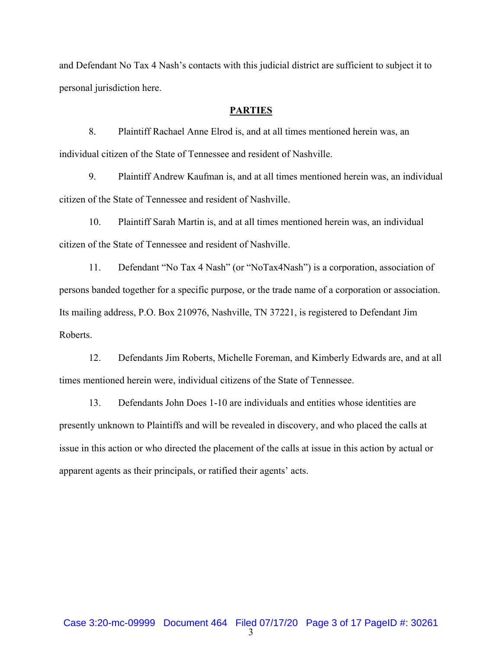and Defendant No Tax 4 Nash's contacts with this judicial district are sufficient to subject it to personal jurisdiction here.

### **PARTIES**

8. Plaintiff Rachael Anne Elrod is, and at all times mentioned herein was, an individual citizen of the State of Tennessee and resident of Nashville.

9. Plaintiff Andrew Kaufman is, and at all times mentioned herein was, an individual citizen of the State of Tennessee and resident of Nashville.

10. Plaintiff Sarah Martin is, and at all times mentioned herein was, an individual citizen of the State of Tennessee and resident of Nashville.

11. Defendant "No Tax 4 Nash" (or "NoTax4Nash") is a corporation, association of persons banded together for a specific purpose, or the trade name of a corporation or association. Its mailing address, P.O. Box 210976, Nashville, TN 37221, is registered to Defendant Jim Roberts.

12. Defendants Jim Roberts, Michelle Foreman, and Kimberly Edwards are, and at all times mentioned herein were, individual citizens of the State of Tennessee.

13. Defendants John Does 1-10 are individuals and entities whose identities are presently unknown to Plaintiffs and will be revealed in discovery, and who placed the calls at issue in this action or who directed the placement of the calls at issue in this action by actual or apparent agents as their principals, or ratified their agents' acts.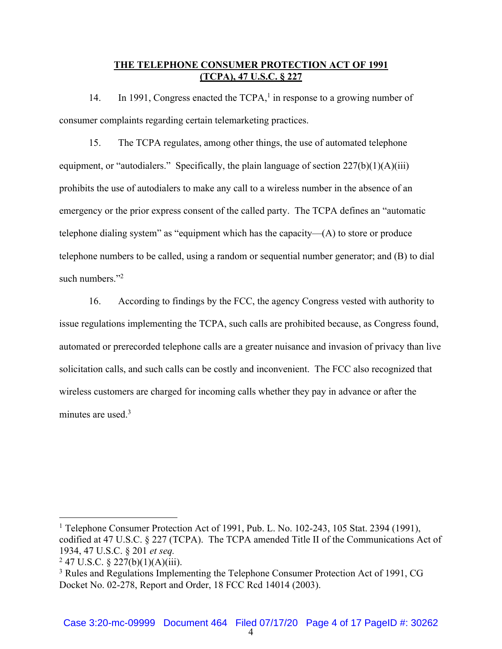### **THE TELEPHONE CONSUMER PROTECTION ACT OF 1991 (TCPA), 47 U.S.C. § 227**

14. In 1991, Congress enacted the  $TCPA<sub>1</sub><sup>1</sup>$  in response to a growing number of consumer complaints regarding certain telemarketing practices.

15. The TCPA regulates, among other things, the use of automated telephone equipment, or "autodialers." Specifically, the plain language of section  $227(b)(1)(A)(iii)$ prohibits the use of autodialers to make any call to a wireless number in the absence of an emergency or the prior express consent of the called party. The TCPA defines an "automatic telephone dialing system" as "equipment which has the capacity— $(A)$  to store or produce telephone numbers to be called, using a random or sequential number generator; and (B) to dial such numbers."<sup>2</sup>

16. According to findings by the FCC, the agency Congress vested with authority to issue regulations implementing the TCPA, such calls are prohibited because, as Congress found, automated or prerecorded telephone calls are a greater nuisance and invasion of privacy than live solicitation calls, and such calls can be costly and inconvenient. The FCC also recognized that wireless customers are charged for incoming calls whether they pay in advance or after the minutes are used. $3$ 

<sup>&</sup>lt;sup>1</sup> Telephone Consumer Protection Act of 1991, Pub. L. No. 102-243, 105 Stat. 2394 (1991), codified at 47 U.S.C. § 227 (TCPA). The TCPA amended Title II of the Communications Act of 1934, 47 U.S.C. § 201 *et seq.*

 $247$  U.S.C. § 227(b)(1)(A)(iii).

<sup>3</sup> Rules and Regulations Implementing the Telephone Consumer Protection Act of 1991, CG Docket No. 02-278, Report and Order, 18 FCC Rcd 14014 (2003).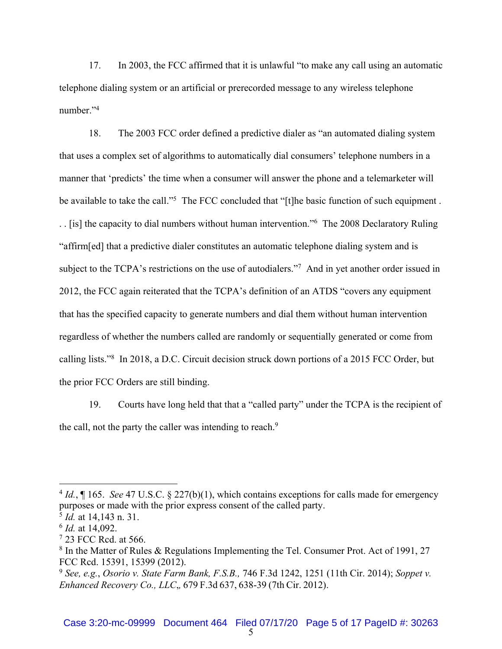17. In 2003, the FCC affirmed that it is unlawful "to make any call using an automatic telephone dialing system or an artificial or prerecorded message to any wireless telephone number."<sup>4</sup>

18. The 2003 FCC order defined a predictive dialer as "an automated dialing system that uses a complex set of algorithms to automatically dial consumers' telephone numbers in a manner that 'predicts' the time when a consumer will answer the phone and a telemarketer will be available to take the call."<sup>5</sup> The FCC concluded that "[t]he basic function of such equipment. . . [is] the capacity to dial numbers without human intervention."6 The 2008 Declaratory Ruling "affirm[ed] that a predictive dialer constitutes an automatic telephone dialing system and is subject to the TCPA's restrictions on the use of autodialers."<sup>7</sup> And in yet another order issued in 2012, the FCC again reiterated that the TCPA's definition of an ATDS "covers any equipment that has the specified capacity to generate numbers and dial them without human intervention regardless of whether the numbers called are randomly or sequentially generated or come from calling lists."<sup>8</sup> In 2018, a D.C. Circuit decision struck down portions of a 2015 FCC Order, but the prior FCC Orders are still binding.

19. Courts have long held that that a "called party" under the TCPA is the recipient of the call, not the party the caller was intending to reach.<sup>9</sup>

<sup>4</sup> *Id.*, ¶ 165. *See* 47 U.S.C. § 227(b)(1), which contains exceptions for calls made for emergency purposes or made with the prior express consent of the called party.

<sup>5</sup> *Id.* at 14,143 n. 31.

<sup>6</sup> *Id.* at 14,092.

<sup>7</sup> 23 FCC Rcd. at 566.

<sup>8</sup> In the Matter of Rules & Regulations Implementing the Tel. Consumer Prot. Act of 1991, 27 FCC Rcd. 15391, 15399 (2012).

<sup>9</sup> *See, e.g.*, *Osorio v. State Farm Bank, F.S.B.,* 746 F.3d 1242, 1251 (11th Cir. 2014); *Soppet v. Enhanced Recovery Co., LLC*,*,* 679 F.3d 637, 638-39 (7th Cir. 2012).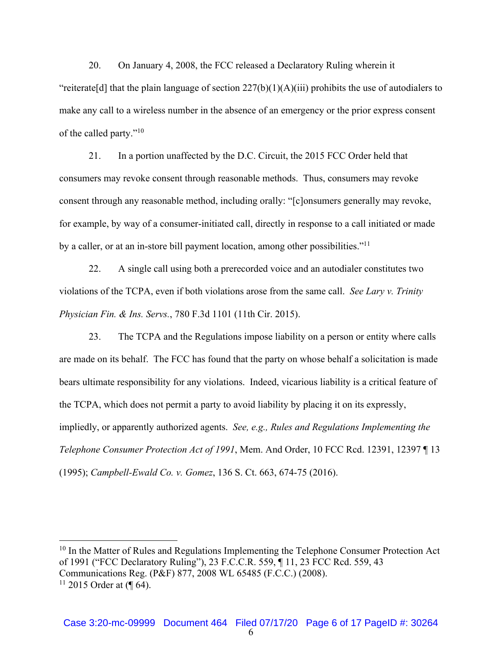20. On January 4, 2008, the FCC released a Declaratory Ruling wherein it "reiterate<sup>[d]</sup> that the plain language of section  $227(b)(1)(A)(iii)$  prohibits the use of autodialers to make any call to a wireless number in the absence of an emergency or the prior express consent of the called party."10

21. In a portion unaffected by the D.C. Circuit, the 2015 FCC Order held that consumers may revoke consent through reasonable methods. Thus, consumers may revoke consent through any reasonable method, including orally: "[c]onsumers generally may revoke, for example, by way of a consumer-initiated call, directly in response to a call initiated or made by a caller, or at an in-store bill payment location, among other possibilities."11

22. A single call using both a prerecorded voice and an autodialer constitutes two violations of the TCPA, even if both violations arose from the same call. *See Lary v. Trinity Physician Fin. & Ins. Servs.*, 780 F.3d 1101 (11th Cir. 2015).

23. The TCPA and the Regulations impose liability on a person or entity where calls are made on its behalf. The FCC has found that the party on whose behalf a solicitation is made bears ultimate responsibility for any violations. Indeed, vicarious liability is a critical feature of the TCPA, which does not permit a party to avoid liability by placing it on its expressly, impliedly, or apparently authorized agents. *See, e.g., Rules and Regulations Implementing the Telephone Consumer Protection Act of 1991*, Mem. And Order, 10 FCC Rcd. 12391, 12397 ¶ 13 (1995); *Campbell-Ewald Co. v. Gomez*, 136 S. Ct. 663, 674-75 (2016).

 $10$  In the Matter of Rules and Regulations Implementing the Telephone Consumer Protection Act of 1991 ("FCC Declaratory Ruling"), 23 F.C.C.R. 559, ¶ 11, 23 FCC Rcd. 559, 43 Communications Reg. (P&F) 877, 2008 WL 65485 (F.C.C.) (2008).  $11$  2015 Order at (¶ 64).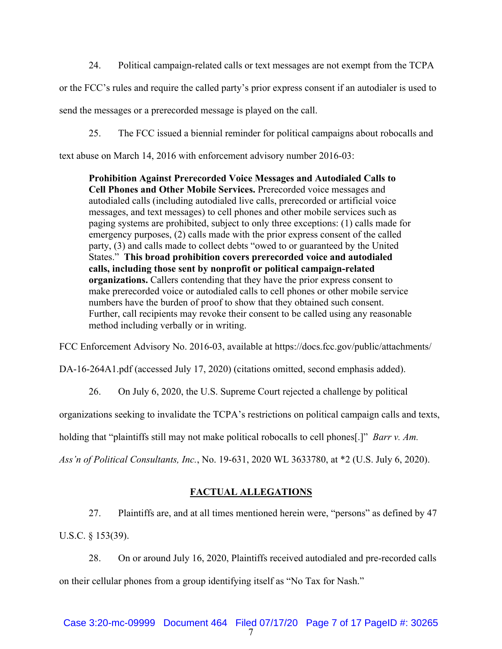24. Political campaign-related calls or text messages are not exempt from the TCPA

or the FCC's rules and require the called party's prior express consent if an autodialer is used to

send the messages or a prerecorded message is played on the call.

25. The FCC issued a biennial reminder for political campaigns about robocalls and

text abuse on March 14, 2016 with enforcement advisory number 2016-03:

**Prohibition Against Prerecorded Voice Messages and Autodialed Calls to Cell Phones and Other Mobile Services.** Prerecorded voice messages and autodialed calls (including autodialed live calls, prerecorded or artificial voice messages, and text messages) to cell phones and other mobile services such as paging systems are prohibited, subject to only three exceptions: (1) calls made for emergency purposes, (2) calls made with the prior express consent of the called party, (3) and calls made to collect debts "owed to or guaranteed by the United States." **This broad prohibition covers prerecorded voice and autodialed calls, including those sent by nonprofit or political campaign-related organizations.** Callers contending that they have the prior express consent to make prerecorded voice or autodialed calls to cell phones or other mobile service numbers have the burden of proof to show that they obtained such consent. Further, call recipients may revoke their consent to be called using any reasonable method including verbally or in writing.

FCC Enforcement Advisory No. 2016-03, available at https://docs.fcc.gov/public/attachments/

DA-16-264A1.pdf (accessed July 17, 2020) (citations omitted, second emphasis added).

26. On July 6, 2020, the U.S. Supreme Court rejected a challenge by political

organizations seeking to invalidate the TCPA's restrictions on political campaign calls and texts,

holding that "plaintiffs still may not make political robocalls to cell phones[.]" *Barr v. Am.* 

*Ass'n of Political Consultants, Inc.*, No. 19-631, 2020 WL 3633780, at \*2 (U.S. July 6, 2020).

### **FACTUAL ALLEGATIONS**

27. Plaintiffs are, and at all times mentioned herein were, "persons" as defined by 47 U.S.C. § 153(39).

28. On or around July 16, 2020, Plaintiffs received autodialed and pre-recorded calls on their cellular phones from a group identifying itself as "No Tax for Nash."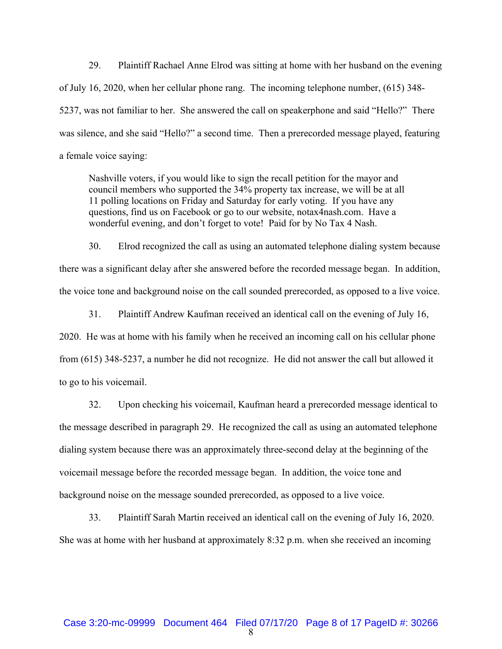29. Plaintiff Rachael Anne Elrod was sitting at home with her husband on the evening of July 16, 2020, when her cellular phone rang. The incoming telephone number, (615) 348- 5237, was not familiar to her. She answered the call on speakerphone and said "Hello?" There was silence, and she said "Hello?" a second time. Then a prerecorded message played, featuring a female voice saying:

Nashville voters, if you would like to sign the recall petition for the mayor and council members who supported the 34% property tax increase, we will be at all 11 polling locations on Friday and Saturday for early voting. If you have any questions, find us on Facebook or go to our website, notax4nash.com. Have a wonderful evening, and don't forget to vote! Paid for by No Tax 4 Nash.

30. Elrod recognized the call as using an automated telephone dialing system because there was a significant delay after she answered before the recorded message began. In addition, the voice tone and background noise on the call sounded prerecorded, as opposed to a live voice.

31. Plaintiff Andrew Kaufman received an identical call on the evening of July 16,

2020. He was at home with his family when he received an incoming call on his cellular phone from (615) 348-5237, a number he did not recognize. He did not answer the call but allowed it to go to his voicemail.

32. Upon checking his voicemail, Kaufman heard a prerecorded message identical to the message described in paragraph 29. He recognized the call as using an automated telephone dialing system because there was an approximately three-second delay at the beginning of the voicemail message before the recorded message began. In addition, the voice tone and background noise on the message sounded prerecorded, as opposed to a live voice.

33. Plaintiff Sarah Martin received an identical call on the evening of July 16, 2020. She was at home with her husband at approximately 8:32 p.m. when she received an incoming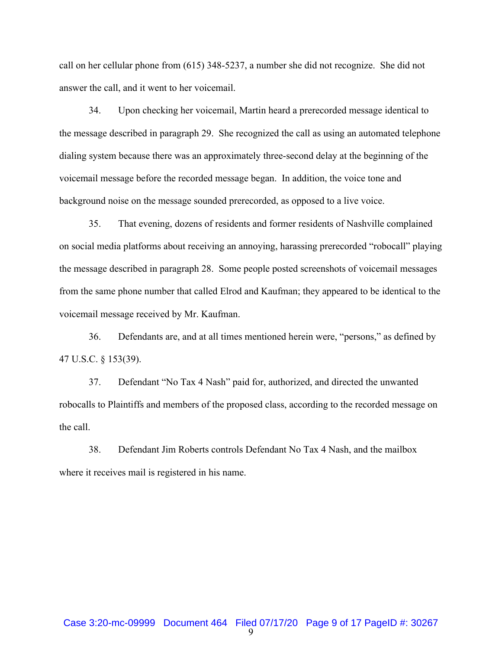call on her cellular phone from (615) 348-5237, a number she did not recognize. She did not answer the call, and it went to her voicemail.

34. Upon checking her voicemail, Martin heard a prerecorded message identical to the message described in paragraph 29. She recognized the call as using an automated telephone dialing system because there was an approximately three-second delay at the beginning of the voicemail message before the recorded message began. In addition, the voice tone and background noise on the message sounded prerecorded, as opposed to a live voice.

35. That evening, dozens of residents and former residents of Nashville complained on social media platforms about receiving an annoying, harassing prerecorded "robocall" playing the message described in paragraph 28. Some people posted screenshots of voicemail messages from the same phone number that called Elrod and Kaufman; they appeared to be identical to the voicemail message received by Mr. Kaufman.

36. Defendants are, and at all times mentioned herein were, "persons," as defined by 47 U.S.C. § 153(39).

37. Defendant "No Tax 4 Nash" paid for, authorized, and directed the unwanted robocalls to Plaintiffs and members of the proposed class, according to the recorded message on the call.

38. Defendant Jim Roberts controls Defendant No Tax 4 Nash, and the mailbox where it receives mail is registered in his name.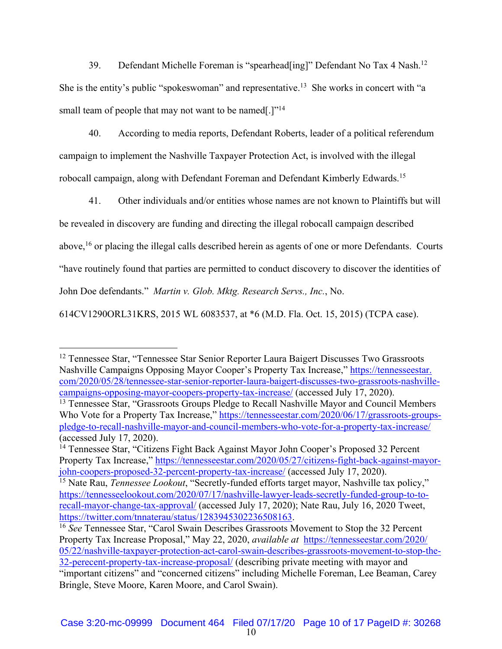39. Defendant Michelle Foreman is "spearhead[ing]" Defendant No Tax 4 Nash.<sup>12</sup> She is the entity's public "spokeswoman" and representative.<sup>13</sup> She works in concert with "a small team of people that may not want to be named.<sup>[17]4</sup>

40. According to media reports, Defendant Roberts, leader of a political referendum campaign to implement the Nashville Taxpayer Protection Act, is involved with the illegal robocall campaign, along with Defendant Foreman and Defendant Kimberly Edwards.15

41. Other individuals and/or entities whose names are not known to Plaintiffs but will be revealed in discovery are funding and directing the illegal robocall campaign described above,<sup>16</sup> or placing the illegal calls described herein as agents of one or more Defendants. Courts "have routinely found that parties are permitted to conduct discovery to discover the identities of John Doe defendants." *Martin v. Glob. Mktg. Research Servs., Inc.*, No. 614CV1290ORL31KRS, 2015 WL 6083537, at \*6 (M.D. Fla. Oct. 15, 2015) (TCPA case).

<sup>12</sup> Tennessee Star, "Tennessee Star Senior Reporter Laura Baigert Discusses Two Grassroots Nashville Campaigns Opposing Mayor Cooper's Property Tax Increase," https://tennesseestar. com/2020/05/28/tennessee-star-senior-reporter-laura-baigert-discusses-two-grassroots-nashvillecampaigns-opposing-mayor-coopers-property-tax-increase/ (accessed July 17, 2020).

<sup>&</sup>lt;sup>13</sup> Tennessee Star, "Grassroots Groups Pledge to Recall Nashville Mayor and Council Members Who Vote for a Property Tax Increase," https://tennesseestar.com/2020/06/17/grassroots-groupspledge-to-recall-nashville-mayor-and-council-members-who-vote-for-a-property-tax-increase/ (accessed July 17, 2020).

<sup>&</sup>lt;sup>14</sup> Tennessee Star, "Citizens Fight Back Against Mayor John Cooper's Proposed 32 Percent Property Tax Increase," https://tennesseestar.com/2020/05/27/citizens-fight-back-against-mayorjohn-coopers-proposed-32-percent-property-tax-increase/ (accessed July 17, 2020).

<sup>15</sup> Nate Rau, *Tennessee Lookout*, "Secretly-funded efforts target mayor, Nashville tax policy," https://tennesseelookout.com/2020/07/17/nashville-lawyer-leads-secretly-funded-group-to-torecall-mayor-change-tax-approval/ (accessed July 17, 2020); Nate Rau, July 16, 2020 Tweet, https://twitter.com/tnnaterau/status/1283945302236508163.

<sup>&</sup>lt;sup>16</sup> See Tennessee Star, "Carol Swain Describes Grassroots Movement to Stop the 32 Percent Property Tax Increase Proposal," May 22, 2020, *available at* https://tennesseestar.com/2020/ 05/22/nashville-taxpayer-protection-act-carol-swain-describes-grassroots-movement-to-stop-the-32-perecent-property-tax-increase-proposal/ (describing private meeting with mayor and "important citizens" and "concerned citizens" including Michelle Foreman, Lee Beaman, Carey Bringle, Steve Moore, Karen Moore, and Carol Swain).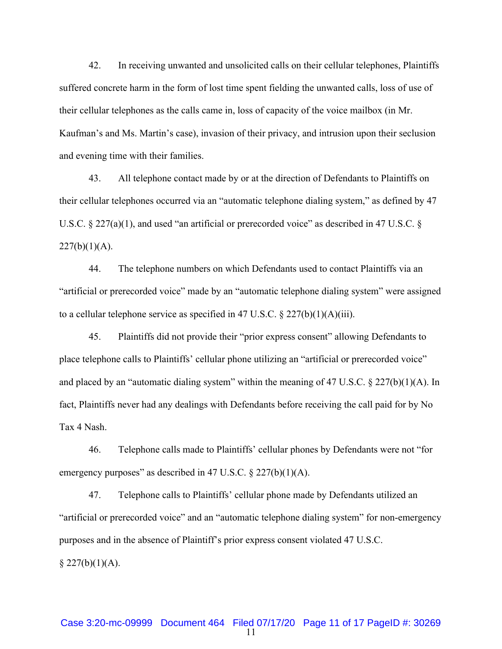42. In receiving unwanted and unsolicited calls on their cellular telephones, Plaintiffs suffered concrete harm in the form of lost time spent fielding the unwanted calls, loss of use of their cellular telephones as the calls came in, loss of capacity of the voice mailbox (in Mr. Kaufman's and Ms. Martin's case), invasion of their privacy, and intrusion upon their seclusion and evening time with their families.

43. All telephone contact made by or at the direction of Defendants to Plaintiffs on their cellular telephones occurred via an "automatic telephone dialing system," as defined by 47 U.S.C. § 227(a)(1), and used "an artificial or prerecorded voice" as described in 47 U.S.C. §  $227(b)(1)(A)$ .

44. The telephone numbers on which Defendants used to contact Plaintiffs via an "artificial or prerecorded voice" made by an "automatic telephone dialing system" were assigned to a cellular telephone service as specified in 47 U.S.C.  $\S 227(b)(1)(A)(iii)$ .

45. Plaintiffs did not provide their "prior express consent" allowing Defendants to place telephone calls to Plaintiffs' cellular phone utilizing an "artificial or prerecorded voice" and placed by an "automatic dialing system" within the meaning of 47 U.S.C.  $\S 227(b)(1)(A)$ . In fact, Plaintiffs never had any dealings with Defendants before receiving the call paid for by No Tax 4 Nash.

46. Telephone calls made to Plaintiffs' cellular phones by Defendants were not "for emergency purposes" as described in 47 U.S.C.  $\S 227(b)(1)(A)$ .

47. Telephone calls to Plaintiffs' cellular phone made by Defendants utilized an "artificial or prerecorded voice" and an "automatic telephone dialing system" for non-emergency purposes and in the absence of Plaintiff's prior express consent violated 47 U.S.C.  $§$  227(b)(1)(A).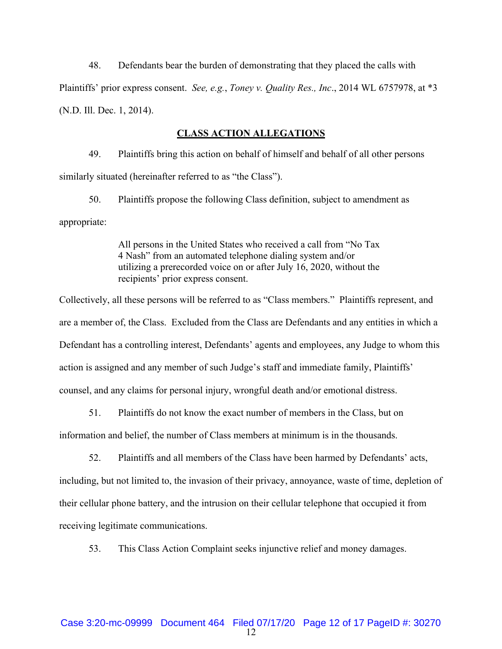48. Defendants bear the burden of demonstrating that they placed the calls with Plaintiffs' prior express consent. *See, e.g.*, *Toney v. Quality Res., Inc*., 2014 WL 6757978, at \*3 (N.D. Ill. Dec. 1, 2014).

#### **CLASS ACTION ALLEGATIONS**

49. Plaintiffs bring this action on behalf of himself and behalf of all other persons similarly situated (hereinafter referred to as "the Class").

50. Plaintiffs propose the following Class definition, subject to amendment as appropriate:

> All persons in the United States who received a call from "No Tax 4 Nash" from an automated telephone dialing system and/or utilizing a prerecorded voice on or after July 16, 2020, without the recipients' prior express consent.

Collectively, all these persons will be referred to as "Class members." Plaintiffs represent, and are a member of, the Class. Excluded from the Class are Defendants and any entities in which a Defendant has a controlling interest, Defendants' agents and employees, any Judge to whom this action is assigned and any member of such Judge's staff and immediate family, Plaintiffs' counsel, and any claims for personal injury, wrongful death and/or emotional distress.

51. Plaintiffs do not know the exact number of members in the Class, but on

information and belief, the number of Class members at minimum is in the thousands.

52. Plaintiffs and all members of the Class have been harmed by Defendants' acts,

including, but not limited to, the invasion of their privacy, annoyance, waste of time, depletion of their cellular phone battery, and the intrusion on their cellular telephone that occupied it from receiving legitimate communications.

53. This Class Action Complaint seeks injunctive relief and money damages.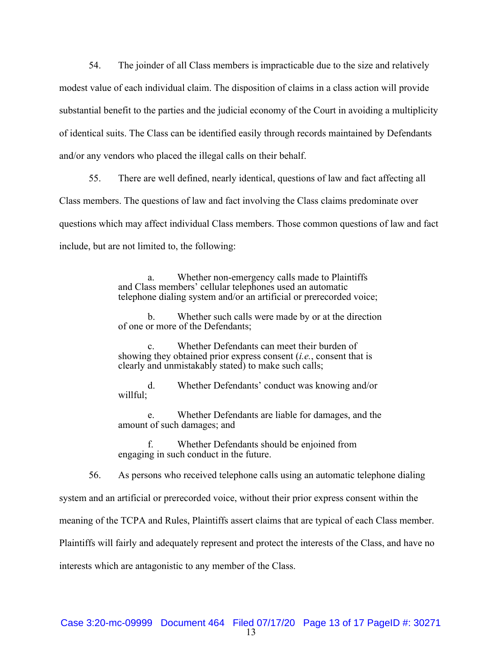54. The joinder of all Class members is impracticable due to the size and relatively modest value of each individual claim. The disposition of claims in a class action will provide substantial benefit to the parties and the judicial economy of the Court in avoiding a multiplicity of identical suits. The Class can be identified easily through records maintained by Defendants and/or any vendors who placed the illegal calls on their behalf.

55. There are well defined, nearly identical, questions of law and fact affecting all Class members. The questions of law and fact involving the Class claims predominate over questions which may affect individual Class members. Those common questions of law and fact include, but are not limited to, the following:

> a. Whether non-emergency calls made to Plaintiffs and Class members' cellular telephones used an automatic telephone dialing system and/or an artificial or prerecorded voice;

b. Whether such calls were made by or at the direction of one or more of the Defendants;

Whether Defendants can meet their burden of showing they obtained prior express consent (*i.e.*, consent that is clearly and unmistakably stated) to make such calls;

d. Whether Defendants' conduct was knowing and/or willful;

Whether Defendants are liable for damages, and the amount of such damages; and

f. Whether Defendants should be enjoined from engaging in such conduct in the future.

56. As persons who received telephone calls using an automatic telephone dialing

system and an artificial or prerecorded voice, without their prior express consent within the

meaning of the TCPA and Rules, Plaintiffs assert claims that are typical of each Class member.

Plaintiffs will fairly and adequately represent and protect the interests of the Class, and have no

interests which are antagonistic to any member of the Class.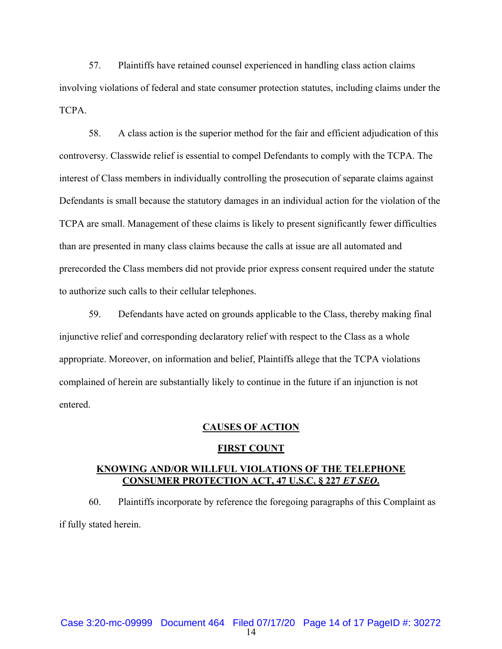57. Plaintiffs have retained counsel experienced in handling class action claims involving violations of federal and state consumer protection statutes, including claims under the TCPA.

58. A class action is the superior method for the fair and efficient adjudication of this controversy. Classwide relief is essential to compel Defendants to comply with the TCPA. The interest of Class members in individually controlling the prosecution of separate claims against Defendants is small because the statutory damages in an individual action for the violation of the TCPA are small. Management of these claims is likely to present significantly fewer difficulties than are presented in many class claims because the calls at issue are all automated and prerecorded the Class members did not provide prior express consent required under the statute to authorize such calls to their cellular telephones.

59. Defendants have acted on grounds applicable to the Class, thereby making final injunctive relief and corresponding declaratory relief with respect to the Class as a whole appropriate. Moreover, on information and belief, Plaintiffs allege that the TCPA violations complained of herein are substantially likely to continue in the future if an injunction is not entered.

#### **CAUSES OF ACTION**

#### **FIRST COUNT**

### **KNOWING AND/OR WILLFUL VIOLATIONS OF THE TELEPHONE CONSUMER PROTECTION ACT, 47 U.S.C. § 227** *ET SEQ***.**

60. Plaintiffs incorporate by reference the foregoing paragraphs of this Complaint as if fully stated herein.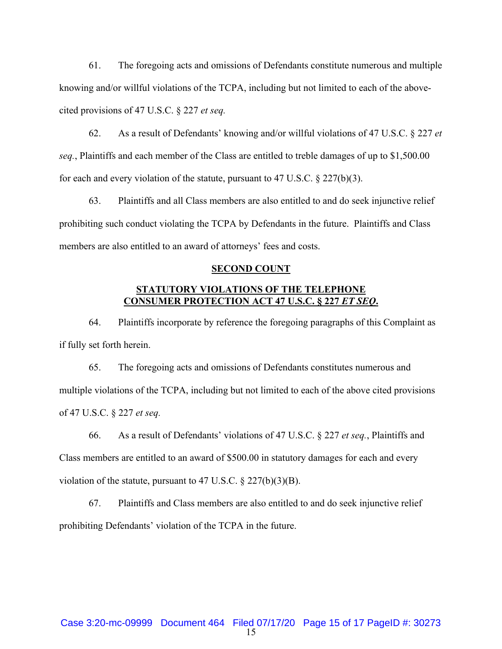61. The foregoing acts and omissions of Defendants constitute numerous and multiple knowing and/or willful violations of the TCPA, including but not limited to each of the abovecited provisions of 47 U.S.C. § 227 *et seq.*

62. As a result of Defendants' knowing and/or willful violations of 47 U.S.C. § 227 *et seq.*, Plaintiffs and each member of the Class are entitled to treble damages of up to \$1,500.00 for each and every violation of the statute, pursuant to 47 U.S.C.  $\S 227(b)(3)$ .

63. Plaintiffs and all Class members are also entitled to and do seek injunctive relief prohibiting such conduct violating the TCPA by Defendants in the future. Plaintiffs and Class members are also entitled to an award of attorneys' fees and costs.

#### **SECOND COUNT**

## **STATUTORY VIOLATIONS OF THE TELEPHONE CONSUMER PROTECTION ACT 47 U.S.C. § 227** *ET SEQ***.**

64. Plaintiffs incorporate by reference the foregoing paragraphs of this Complaint as if fully set forth herein.

65. The foregoing acts and omissions of Defendants constitutes numerous and multiple violations of the TCPA, including but not limited to each of the above cited provisions of 47 U.S.C. § 227 *et seq.*

66. As a result of Defendants' violations of 47 U.S.C. § 227 *et seq.*, Plaintiffs and Class members are entitled to an award of \$500.00 in statutory damages for each and every violation of the statute, pursuant to 47 U.S.C.  $\S 227(b)(3)(B)$ .

67. Plaintiffs and Class members are also entitled to and do seek injunctive relief prohibiting Defendants' violation of the TCPA in the future.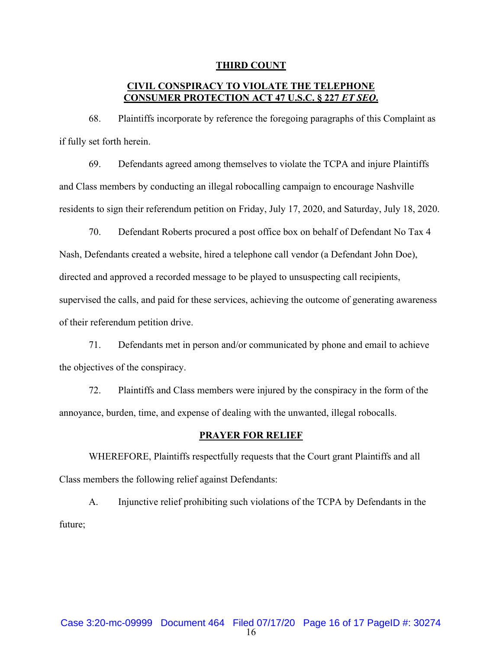#### **THIRD COUNT**

## **CIVIL CONSPIRACY TO VIOLATE THE TELEPHONE CONSUMER PROTECTION ACT 47 U.S.C. § 227** *ET SEQ***.**

68. Plaintiffs incorporate by reference the foregoing paragraphs of this Complaint as if fully set forth herein.

69. Defendants agreed among themselves to violate the TCPA and injure Plaintiffs and Class members by conducting an illegal robocalling campaign to encourage Nashville residents to sign their referendum petition on Friday, July 17, 2020, and Saturday, July 18, 2020.

70. Defendant Roberts procured a post office box on behalf of Defendant No Tax 4 Nash, Defendants created a website, hired a telephone call vendor (a Defendant John Doe), directed and approved a recorded message to be played to unsuspecting call recipients, supervised the calls, and paid for these services, achieving the outcome of generating awareness of their referendum petition drive.

71. Defendants met in person and/or communicated by phone and email to achieve the objectives of the conspiracy.

72. Plaintiffs and Class members were injured by the conspiracy in the form of the annoyance, burden, time, and expense of dealing with the unwanted, illegal robocalls.

#### **PRAYER FOR RELIEF**

WHEREFORE, Plaintiffs respectfully requests that the Court grant Plaintiffs and all Class members the following relief against Defendants:

A. Injunctive relief prohibiting such violations of the TCPA by Defendants in the future;